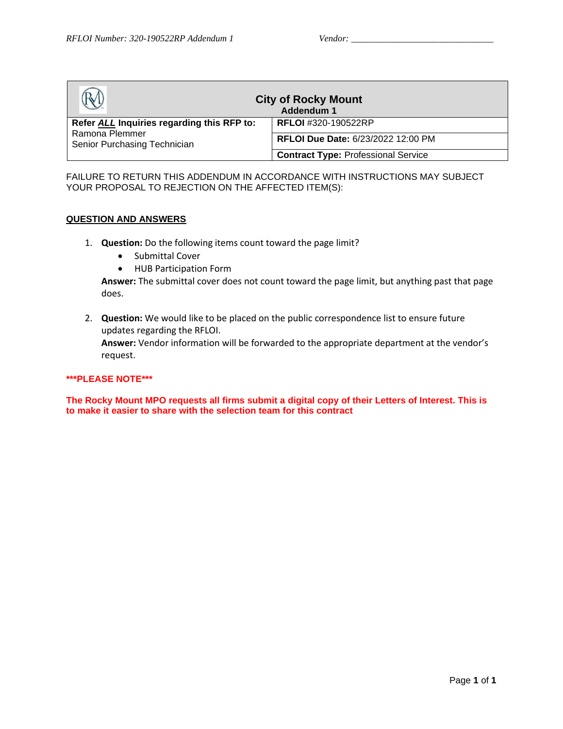| <b>City of Rocky Mount</b><br>Addendum 1       |                                            |  |
|------------------------------------------------|--------------------------------------------|--|
| Refer ALL Inquiries regarding this RFP to:     | <b>RFLOI</b> #320-190522RP                 |  |
| Ramona Plemmer<br>Senior Purchasing Technician | RFLOI Due Date: 6/23/2022 12:00 PM         |  |
|                                                | <b>Contract Type: Professional Service</b> |  |

FAILURE TO RETURN THIS ADDENDUM IN ACCORDANCE WITH INSTRUCTIONS MAY SUBJECT YOUR PROPOSAL TO REJECTION ON THE AFFECTED ITEM(S):

#### **QUESTION AND ANSWERS**

- 1. **Question:** Do the following items count toward the page limit?
	- Submittal Cover
	- HUB Participation Form

**Answer:** The submittal cover does not count toward the page limit, but anything past that page does.

2. **Question:** We would like to be placed on the public correspondence list to ensure future updates regarding the RFLOI.

**Answer:** Vendor information will be forwarded to the appropriate department at the vendor's request.

#### **\*\*\*PLEASE NOTE\*\*\***

**The Rocky Mount MPO requests all firms submit a digital copy of their Letters of Interest. This is to make it easier to share with the selection team for this contract**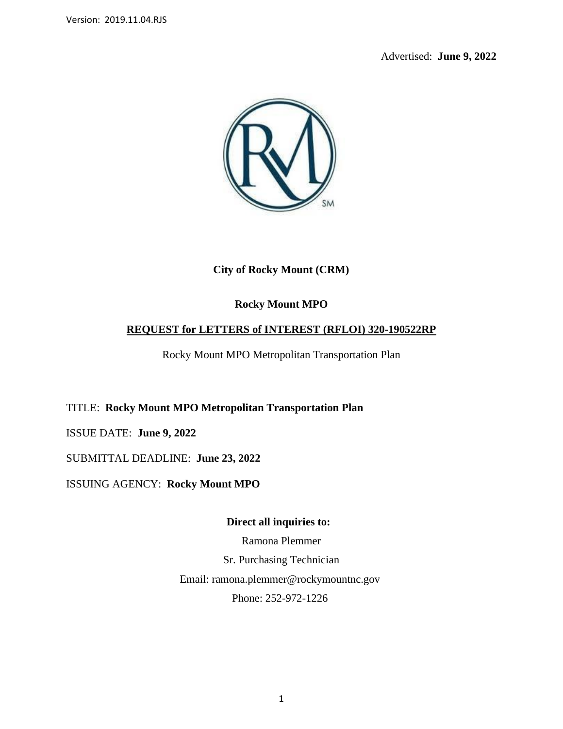Advertised: **June 9, 2022**



**City of Rocky Mount (CRM)**

# **Rocky Mount MPO**

# **REQUEST for LETTERS of INTEREST (RFLOI) 320-190522RP**

Rocky Mount MPO Metropolitan Transportation Plan

TITLE: **Rocky Mount MPO Metropolitan Transportation Plan**

ISSUE DATE: **June 9, 2022**

SUBMITTAL DEADLINE: **June 23, 2022**

ISSUING AGENCY: **Rocky Mount MPO**

**Direct all inquiries to:**

Ramona Plemmer Sr. Purchasing Technician Email: ramona.plemmer@rockymountnc.gov Phone: 252-972-1226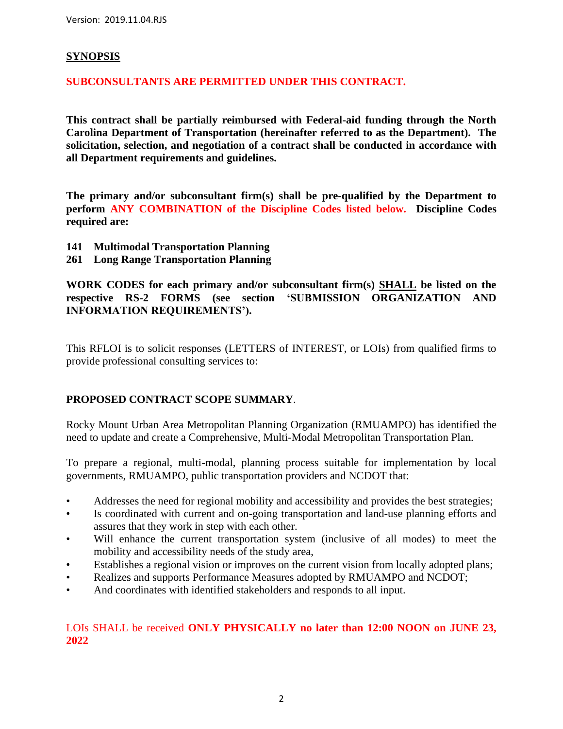#### **SYNOPSIS**

#### **SUBCONSULTANTS ARE PERMITTED UNDER THIS CONTRACT.**

**This contract shall be partially reimbursed with Federal-aid funding through the North Carolina Department of Transportation (hereinafter referred to as the Department). The solicitation, selection, and negotiation of a contract shall be conducted in accordance with all Department requirements and guidelines.**

**The primary and/or subconsultant firm(s) shall be pre-qualified by the Department to perform ANY COMBINATION of the Discipline Codes listed below. Discipline Codes required are:**

- **141 Multimodal Transportation Planning**
- **261 Long Range Transportation Planning**

**WORK CODES for each primary and/or subconsultant firm(s) SHALL be listed on the respective RS-2 FORMS (see section 'SUBMISSION ORGANIZATION AND INFORMATION REQUIREMENTS').**

This RFLOI is to solicit responses (LETTERS of INTEREST, or LOIs) from qualified firms to provide professional consulting services to:

## **PROPOSED CONTRACT SCOPE SUMMARY**.

Rocky Mount Urban Area Metropolitan Planning Organization (RMUAMPO) has identified the need to update and create a Comprehensive, Multi-Modal Metropolitan Transportation Plan.

To prepare a regional, multi-modal, planning process suitable for implementation by local governments, RMUAMPO, public transportation providers and NCDOT that:

- Addresses the need for regional mobility and accessibility and provides the best strategies;
- Is coordinated with current and on-going transportation and land-use planning efforts and assures that they work in step with each other.
- Will enhance the current transportation system (inclusive of all modes) to meet the mobility and accessibility needs of the study area,
- Establishes a regional vision or improves on the current vision from locally adopted plans;
- Realizes and supports Performance Measures adopted by RMUAMPO and NCDOT;
- And coordinates with identified stakeholders and responds to all input.

## LOIs SHALL be received **ONLY PHYSICALLY no later than 12:00 NOON on JUNE 23, 2022**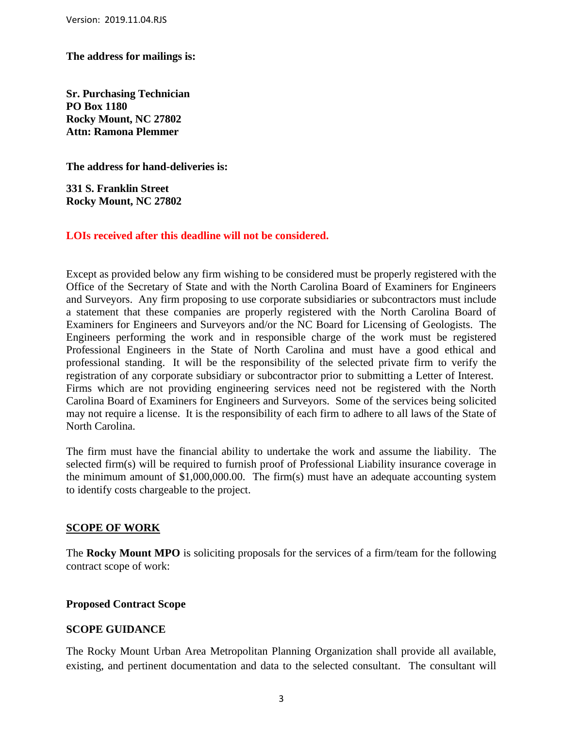**The address for mailings is:**

**Sr. Purchasing Technician PO Box 1180 Rocky Mount, NC 27802 Attn: Ramona Plemmer**

**The address for hand-deliveries is:**

**331 S. Franklin Street Rocky Mount, NC 27802**

#### **LOIs received after this deadline will not be considered.**

Except as provided below any firm wishing to be considered must be properly registered with the Office of the Secretary of State and with the North Carolina Board of Examiners for Engineers and Surveyors. Any firm proposing to use corporate subsidiaries or subcontractors must include a statement that these companies are properly registered with the North Carolina Board of Examiners for Engineers and Surveyors and/or the NC Board for Licensing of Geologists. The Engineers performing the work and in responsible charge of the work must be registered Professional Engineers in the State of North Carolina and must have a good ethical and professional standing. It will be the responsibility of the selected private firm to verify the registration of any corporate subsidiary or subcontractor prior to submitting a Letter of Interest. Firms which are not providing engineering services need not be registered with the North Carolina Board of Examiners for Engineers and Surveyors. Some of the services being solicited may not require a license. It is the responsibility of each firm to adhere to all laws of the State of North Carolina.

The firm must have the financial ability to undertake the work and assume the liability. The selected firm(s) will be required to furnish proof of Professional Liability insurance coverage in the minimum amount of \$1,000,000.00. The firm(s) must have an adequate accounting system to identify costs chargeable to the project.

#### **SCOPE OF WORK**

The **Rocky Mount MPO** is soliciting proposals for the services of a firm/team for the following contract scope of work:

#### **Proposed Contract Scope**

#### **SCOPE GUIDANCE**

The Rocky Mount Urban Area Metropolitan Planning Organization shall provide all available, existing, and pertinent documentation and data to the selected consultant. The consultant will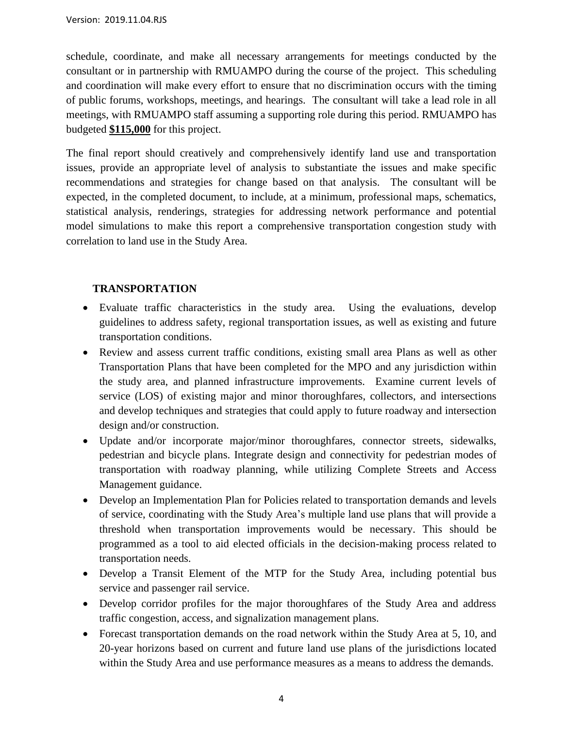schedule, coordinate, and make all necessary arrangements for meetings conducted by the consultant or in partnership with RMUAMPO during the course of the project. This scheduling and coordination will make every effort to ensure that no discrimination occurs with the timing of public forums, workshops, meetings, and hearings. The consultant will take a lead role in all meetings, with RMUAMPO staff assuming a supporting role during this period. RMUAMPO has budgeted **\$115,000** for this project.

The final report should creatively and comprehensively identify land use and transportation issues, provide an appropriate level of analysis to substantiate the issues and make specific recommendations and strategies for change based on that analysis. The consultant will be expected, in the completed document, to include, at a minimum, professional maps, schematics, statistical analysis, renderings, strategies for addressing network performance and potential model simulations to make this report a comprehensive transportation congestion study with correlation to land use in the Study Area.

## **TRANSPORTATION**

- Evaluate traffic characteristics in the study area. Using the evaluations, develop guidelines to address safety, regional transportation issues, as well as existing and future transportation conditions.
- Review and assess current traffic conditions, existing small area Plans as well as other Transportation Plans that have been completed for the MPO and any jurisdiction within the study area, and planned infrastructure improvements. Examine current levels of service (LOS) of existing major and minor thoroughfares, collectors, and intersections and develop techniques and strategies that could apply to future roadway and intersection design and/or construction.
- Update and/or incorporate major/minor thoroughfares, connector streets, sidewalks, pedestrian and bicycle plans. Integrate design and connectivity for pedestrian modes of transportation with roadway planning, while utilizing Complete Streets and Access Management guidance.
- Develop an Implementation Plan for Policies related to transportation demands and levels of service, coordinating with the Study Area's multiple land use plans that will provide a threshold when transportation improvements would be necessary. This should be programmed as a tool to aid elected officials in the decision-making process related to transportation needs.
- Develop a Transit Element of the MTP for the Study Area, including potential bus service and passenger rail service.
- Develop corridor profiles for the major thoroughfares of the Study Area and address traffic congestion, access, and signalization management plans.
- Forecast transportation demands on the road network within the Study Area at 5, 10, and 20-year horizons based on current and future land use plans of the jurisdictions located within the Study Area and use performance measures as a means to address the demands.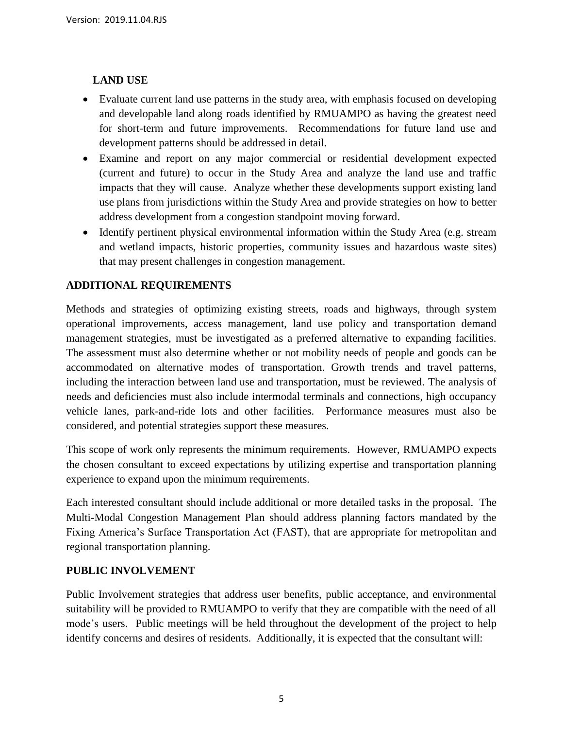## **LAND USE**

- Evaluate current land use patterns in the study area, with emphasis focused on developing and developable land along roads identified by RMUAMPO as having the greatest need for short-term and future improvements. Recommendations for future land use and development patterns should be addressed in detail.
- Examine and report on any major commercial or residential development expected (current and future) to occur in the Study Area and analyze the land use and traffic impacts that they will cause. Analyze whether these developments support existing land use plans from jurisdictions within the Study Area and provide strategies on how to better address development from a congestion standpoint moving forward.
- Identify pertinent physical environmental information within the Study Area (e.g. stream and wetland impacts, historic properties, community issues and hazardous waste sites) that may present challenges in congestion management.

## **ADDITIONAL REQUIREMENTS**

Methods and strategies of optimizing existing streets, roads and highways, through system operational improvements, access management, land use policy and transportation demand management strategies, must be investigated as a preferred alternative to expanding facilities. The assessment must also determine whether or not mobility needs of people and goods can be accommodated on alternative modes of transportation. Growth trends and travel patterns, including the interaction between land use and transportation, must be reviewed. The analysis of needs and deficiencies must also include intermodal terminals and connections, high occupancy vehicle lanes, park-and-ride lots and other facilities. Performance measures must also be considered, and potential strategies support these measures.

This scope of work only represents the minimum requirements. However, RMUAMPO expects the chosen consultant to exceed expectations by utilizing expertise and transportation planning experience to expand upon the minimum requirements.

Each interested consultant should include additional or more detailed tasks in the proposal. The Multi-Modal Congestion Management Plan should address planning factors mandated by the Fixing America's Surface Transportation Act (FAST), that are appropriate for metropolitan and regional transportation planning.

#### **PUBLIC INVOLVEMENT**

Public Involvement strategies that address user benefits, public acceptance, and environmental suitability will be provided to RMUAMPO to verify that they are compatible with the need of all mode's users. Public meetings will be held throughout the development of the project to help identify concerns and desires of residents. Additionally, it is expected that the consultant will: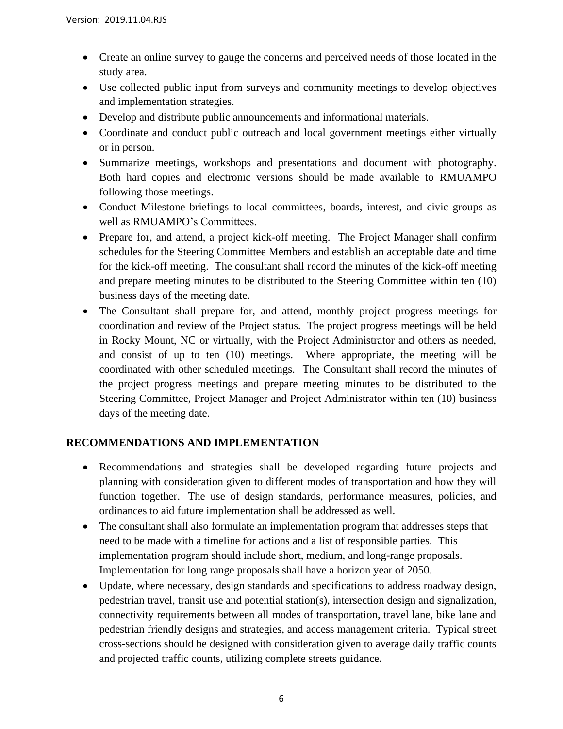- Create an online survey to gauge the concerns and perceived needs of those located in the study area.
- Use collected public input from surveys and community meetings to develop objectives and implementation strategies.
- Develop and distribute public announcements and informational materials.
- Coordinate and conduct public outreach and local government meetings either virtually or in person.
- Summarize meetings, workshops and presentations and document with photography. Both hard copies and electronic versions should be made available to RMUAMPO following those meetings.
- Conduct Milestone briefings to local committees, boards, interest, and civic groups as well as RMUAMPO's Committees.
- Prepare for, and attend, a project kick-off meeting. The Project Manager shall confirm schedules for the Steering Committee Members and establish an acceptable date and time for the kick-off meeting. The consultant shall record the minutes of the kick-off meeting and prepare meeting minutes to be distributed to the Steering Committee within ten (10) business days of the meeting date.
- The Consultant shall prepare for, and attend, monthly project progress meetings for coordination and review of the Project status. The project progress meetings will be held in Rocky Mount, NC or virtually, with the Project Administrator and others as needed, and consist of up to ten (10) meetings. Where appropriate, the meeting will be coordinated with other scheduled meetings. The Consultant shall record the minutes of the project progress meetings and prepare meeting minutes to be distributed to the Steering Committee, Project Manager and Project Administrator within ten (10) business days of the meeting date.

# **RECOMMENDATIONS AND IMPLEMENTATION**

- Recommendations and strategies shall be developed regarding future projects and planning with consideration given to different modes of transportation and how they will function together. The use of design standards, performance measures, policies, and ordinances to aid future implementation shall be addressed as well.
- The consultant shall also formulate an implementation program that addresses steps that need to be made with a timeline for actions and a list of responsible parties. This implementation program should include short, medium, and long-range proposals. Implementation for long range proposals shall have a horizon year of 2050.
- Update, where necessary, design standards and specifications to address roadway design, pedestrian travel, transit use and potential station(s), intersection design and signalization, connectivity requirements between all modes of transportation, travel lane, bike lane and pedestrian friendly designs and strategies, and access management criteria. Typical street cross-sections should be designed with consideration given to average daily traffic counts and projected traffic counts, utilizing complete streets guidance.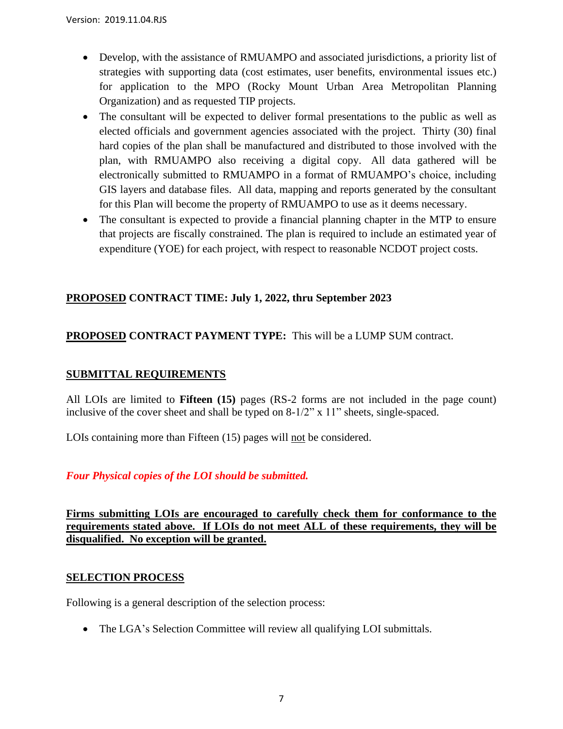- Develop, with the assistance of RMUAMPO and associated jurisdictions, a priority list of strategies with supporting data (cost estimates, user benefits, environmental issues etc.) for application to the MPO (Rocky Mount Urban Area Metropolitan Planning Organization) and as requested TIP projects.
- The consultant will be expected to deliver formal presentations to the public as well as elected officials and government agencies associated with the project. Thirty (30) final hard copies of the plan shall be manufactured and distributed to those involved with the plan, with RMUAMPO also receiving a digital copy. All data gathered will be electronically submitted to RMUAMPO in a format of RMUAMPO's choice, including GIS layers and database files. All data, mapping and reports generated by the consultant for this Plan will become the property of RMUAMPO to use as it deems necessary.
- The consultant is expected to provide a financial planning chapter in the MTP to ensure that projects are fiscally constrained. The plan is required to include an estimated year of expenditure (YOE) for each project, with respect to reasonable NCDOT project costs.

# **PROPOSED CONTRACT TIME: July 1, 2022, thru September 2023**

# **PROPOSED CONTRACT PAYMENT TYPE:** This will be a LUMP SUM contract.

## **SUBMITTAL REQUIREMENTS**

All LOIs are limited to **Fifteen (15)** pages (RS-2 forms are not included in the page count) inclusive of the cover sheet and shall be typed on 8-1/2" x 11" sheets, single-spaced.

LOIs containing more than Fifteen (15) pages will not be considered.

# *Four Physical copies of the LOI should be submitted.*

**Firms submitting LOIs are encouraged to carefully check them for conformance to the requirements stated above. If LOIs do not meet ALL of these requirements, they will be disqualified. No exception will be granted.**

## **SELECTION PROCESS**

Following is a general description of the selection process:

• The LGA's Selection Committee will review all qualifying LOI submittals.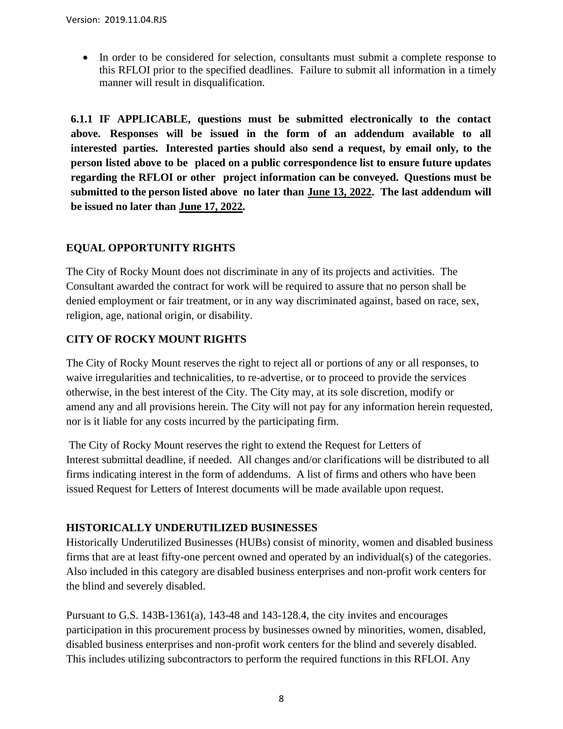• In order to be considered for selection, consultants must submit a complete response to this RFLOI prior to the specified deadlines. Failure to submit all information in a timely manner will result in disqualification.

**6.1.1 IF APPLICABLE, questions must be submitted electronically to the contact above. Responses will be issued in the form of an addendum available to all interested parties. Interested parties should also send a request, by email only, to the person listed above to be placed on a public correspondence list to ensure future updates regarding the RFLOI or other project information can be conveyed. Questions must be submitted to the person listed above no later than June 13, 2022. The last addendum will be issued no later than June 17, 2022.**

# **EQUAL OPPORTUNITY RIGHTS**

The City of Rocky Mount does not discriminate in any of its projects and activities. The Consultant awarded the contract for work will be required to assure that no person shall be denied employment or fair treatment, or in any way discriminated against, based on race, sex, religion, age, national origin, or disability.

# **CITY OF ROCKY MOUNT RIGHTS**

The City of Rocky Mount reserves the right to reject all or portions of any or all responses, to waive irregularities and technicalities, to re-advertise, or to proceed to provide the services otherwise, in the best interest of the City. The City may, at its sole discretion, modify or amend any and all provisions herein. The City will not pay for any information herein requested, nor is it liable for any costs incurred by the participating firm.

The City of Rocky Mount reserves the right to extend the Request for Letters of Interest submittal deadline, if needed. All changes and/or clarifications will be distributed to all firms indicating interest in the form of addendums. A list of firms and others who have been issued Request for Letters of Interest documents will be made available upon request.

## **HISTORICALLY UNDERUTILIZED BUSINESSES**

Historically Underutilized Businesses (HUBs) consist of minority, women and disabled business firms that are at least fifty-one percent owned and operated by an individual(s) of the categories. Also included in this category are disabled business enterprises and non-profit work centers for the blind and severely disabled.

Pursuant to G.S. 143B-1361(a), 143-48 and 143-128.4, the city invites and encourages participation in this procurement process by businesses owned by minorities, women, disabled, disabled business enterprises and non-profit work centers for the blind and severely disabled. This includes utilizing subcontractors to perform the required functions in this RFLOI. Any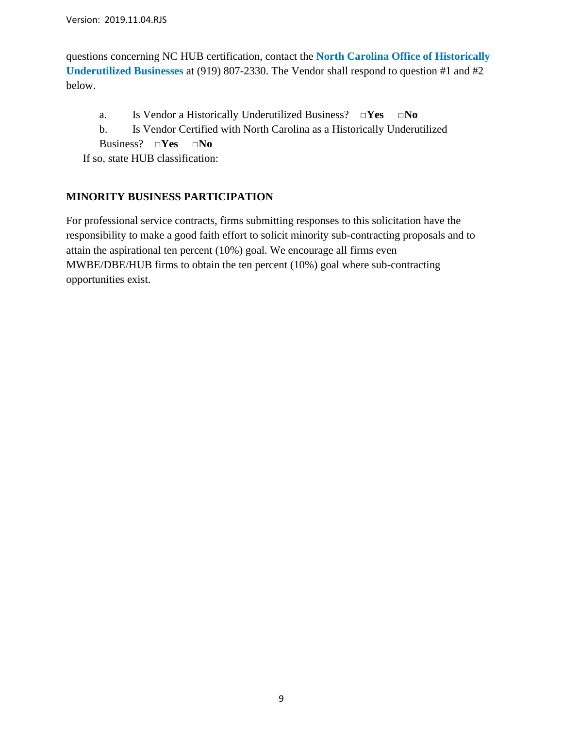questions concerning NC HUB certification, contact the **[North Carolina Office of Historically](http://ncadmin.nc.gov/businesses/hub)  [Underutilized Businesses](http://ncadmin.nc.gov/businesses/hub)** at (919) 807-2330. The Vendor shall respond to question #1 and #2 below.

- a. Is Vendor a Historically Underutilized Business? **□Yes □No**
- b. Is Vendor Certified with North Carolina as a Historically Underutilized
- Business? **□Yes □No**

If so, state HUB classification:

# **MINORITY BUSINESS PARTICIPATION**

For professional service contracts, firms submitting responses to this solicitation have the responsibility to make a good faith effort to solicit minority sub-contracting proposals and to attain the aspirational ten percent (10%) goal. We encourage all firms even MWBE/DBE/HUB firms to obtain the ten percent (10%) goal where sub-contracting opportunities exist.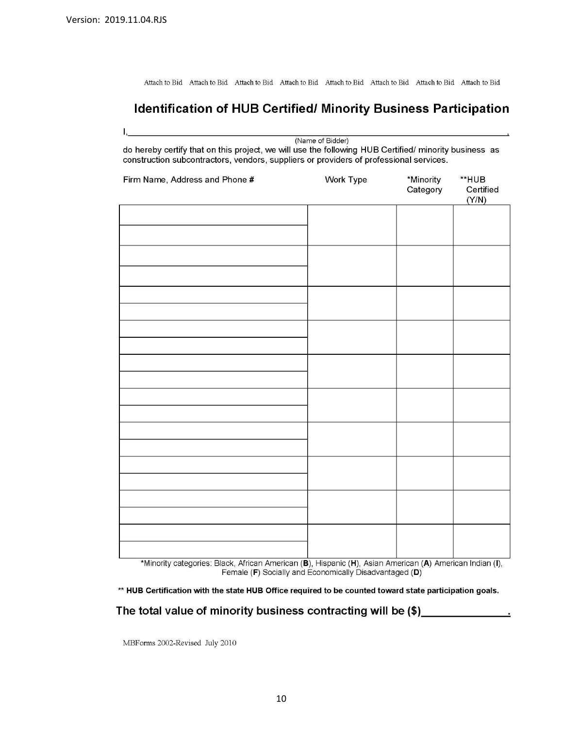Attach to Bid Attach to Bid Attach to Bid Attach to Bid Attach to Bid Attach to Bid Attach to Bid Attach to Bid

# Identification of HUB Certified/ Minority Business Participation

| (Name of Bidder)<br>do hereby certify that on this project, we will use the following HUB Certified/ minority business as<br>construction subcontractors, vendors, suppliers or providers of professional services. |                  |                       |                             |  |
|---------------------------------------------------------------------------------------------------------------------------------------------------------------------------------------------------------------------|------------------|-----------------------|-----------------------------|--|
| Firm Name, Address and Phone #                                                                                                                                                                                      | <b>Work Type</b> | *Minority<br>Category | **HUB<br>Certified<br>(Y/N) |  |
|                                                                                                                                                                                                                     |                  |                       |                             |  |
|                                                                                                                                                                                                                     |                  |                       |                             |  |
|                                                                                                                                                                                                                     |                  |                       |                             |  |
|                                                                                                                                                                                                                     |                  |                       |                             |  |
|                                                                                                                                                                                                                     |                  |                       |                             |  |
|                                                                                                                                                                                                                     |                  |                       |                             |  |
|                                                                                                                                                                                                                     |                  |                       |                             |  |
|                                                                                                                                                                                                                     |                  |                       |                             |  |
|                                                                                                                                                                                                                     |                  |                       |                             |  |
|                                                                                                                                                                                                                     |                  |                       |                             |  |
|                                                                                                                                                                                                                     |                  |                       |                             |  |
|                                                                                                                                                                                                                     |                  |                       |                             |  |
|                                                                                                                                                                                                                     |                  |                       |                             |  |
|                                                                                                                                                                                                                     |                  |                       |                             |  |
|                                                                                                                                                                                                                     |                  |                       |                             |  |
|                                                                                                                                                                                                                     |                  |                       |                             |  |
| *Minority categories: Black, African American (B), Hispanic (H), Asian American (A), American Indian (I)                                                                                                            |                  |                       |                             |  |

\*Minority categories: Black, African American (**B**), Hispanic (**H**), Asian American (**A**) American Indian (I),<br>Female (**F**) Socially and Economically Disadvantaged (**D**)

\*\* HUB Certification with the state HUB Office required to be counted toward state participation goals.

# The total value of minority business contracting will be (\$) \_\_\_\_\_\_\_\_\_\_\_\_\_\_\_\_\_\_

MBForms 2002-Revised July 2010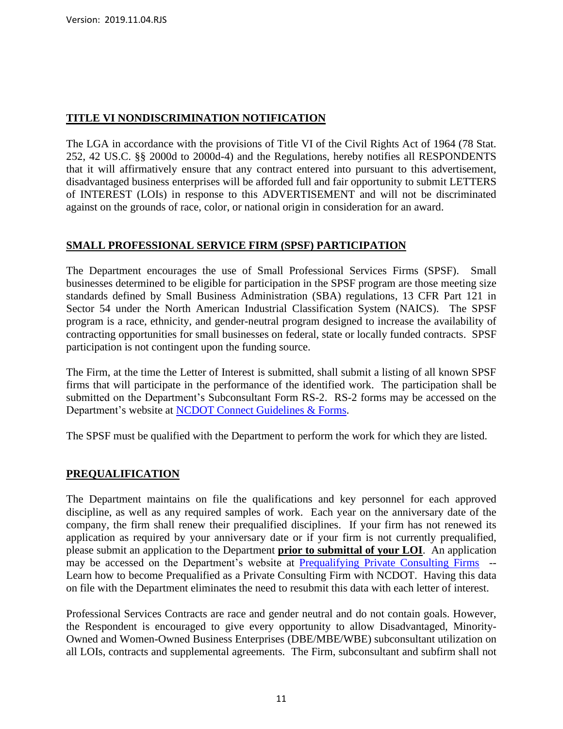# **TITLE VI NONDISCRIMINATION NOTIFICATION**

The LGA in accordance with the provisions of Title VI of the Civil Rights Act of 1964 (78 Stat. 252, 42 US.C. §§ 2000d to 2000d-4) and the Regulations, hereby notifies all RESPONDENTS that it will affirmatively ensure that any contract entered into pursuant to this advertisement, disadvantaged business enterprises will be afforded full and fair opportunity to submit LETTERS of INTEREST (LOIs) in response to this ADVERTISEMENT and will not be discriminated against on the grounds of race, color, or national origin in consideration for an award.

# **SMALL PROFESSIONAL SERVICE FIRM (SPSF) PARTICIPATION**

The Department encourages the use of Small Professional Services Firms (SPSF). Small businesses determined to be eligible for participation in the SPSF program are those meeting size standards defined by Small Business Administration (SBA) regulations, 13 CFR Part 121 in Sector 54 under the North American Industrial Classification System (NAICS). The SPSF program is a race, ethnicity, and gender-neutral program designed to increase the availability of contracting opportunities for small businesses on federal, state or locally funded contracts. SPSF participation is not contingent upon the funding source.

The Firm, at the time the Letter of Interest is submitted, shall submit a listing of all known SPSF firms that will participate in the performance of the identified work. The participation shall be submitted on the Department's Subconsultant Form RS-2. RS-2 forms may be accessed on the Department's website at [NCDOT Connect Guidelines & Forms.](https://connect.ncdot.gov/business/consultants/Pages/Guidelines-Forms.aspx)

The SPSF must be qualified with the Department to perform the work for which they are listed.

# **PREQUALIFICATION**

The Department maintains on file the qualifications and key personnel for each approved discipline, as well as any required samples of work. Each year on the anniversary date of the company, the firm shall renew their prequalified disciplines. If your firm has not renewed its application as required by your anniversary date or if your firm is not currently prequalified, please submit an application to the Department **prior to submittal of your LOI**. An application may be accessed on the Department's website at [Prequalifying Private Consulting Firms](https://connect.ncdot.gov/business/Prequal/Pages/Private-Consulting-Firm.aspx) -- Learn how to become Prequalified as a Private Consulting Firm with NCDOT. Having this data on file with the Department eliminates the need to resubmit this data with each letter of interest.

Professional Services Contracts are race and gender neutral and do not contain goals. However, the Respondent is encouraged to give every opportunity to allow Disadvantaged, Minority-Owned and Women-Owned Business Enterprises (DBE/MBE/WBE) subconsultant utilization on all LOIs, contracts and supplemental agreements. The Firm, subconsultant and subfirm shall not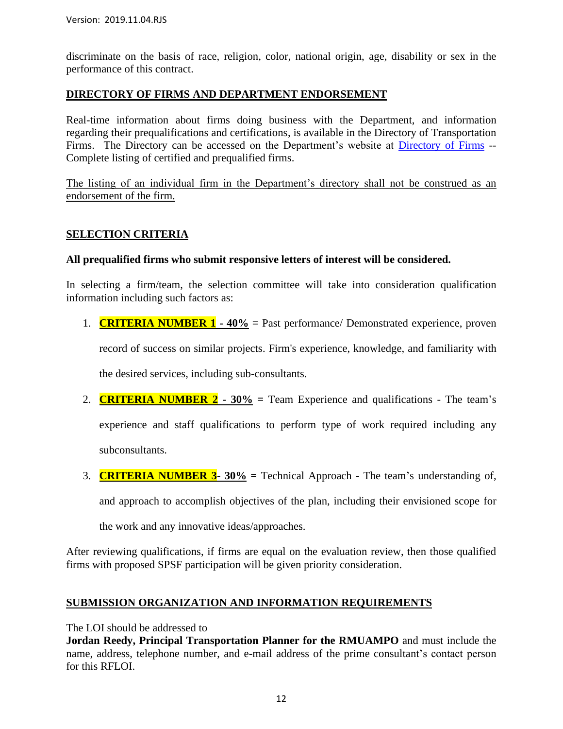discriminate on the basis of race, religion, color, national origin, age, disability or sex in the performance of this contract.

#### **DIRECTORY OF FIRMS AND DEPARTMENT ENDORSEMENT**

Real-time information about firms doing business with the Department, and information regarding their prequalifications and certifications, is available in the Directory of Transportation Firms. The Directory can be accessed on the Department's website at [Directory of Firms](https://www.ebs.nc.gov/VendorDirectory/default.html) -- Complete listing of certified and prequalified firms.

The listing of an individual firm in the Department's directory shall not be construed as an endorsement of the firm.

#### **SELECTION CRITERIA**

#### **All prequalified firms who submit responsive letters of interest will be considered.**

In selecting a firm/team, the selection committee will take into consideration qualification information including such factors as:

1. **CRITERIA NUMBER 1 - 40% =** Past performance/ Demonstrated experience, proven

record of success on similar projects. Firm's experience, knowledge, and familiarity with

the desired services, including sub-consultants.

2. **CRITERIA NUMBER 2 - 30% =** Team Experience and qualifications - The team's

experience and staff qualifications to perform type of work required including any subconsultants.

3. **CRITERIA NUMBER 3- 30% =** Technical Approach - The team's understanding of,

and approach to accomplish objectives of the plan, including their envisioned scope for

the work and any innovative ideas/approaches.

After reviewing qualifications, if firms are equal on the evaluation review, then those qualified firms with proposed SPSF participation will be given priority consideration.

#### **SUBMISSION ORGANIZATION AND INFORMATION REQUIREMENTS**

The LOI should be addressed to

**Jordan Reedy, Principal Transportation Planner for the RMUAMPO** and must include the name, address, telephone number, and e-mail address of the prime consultant's contact person for this RFLOI.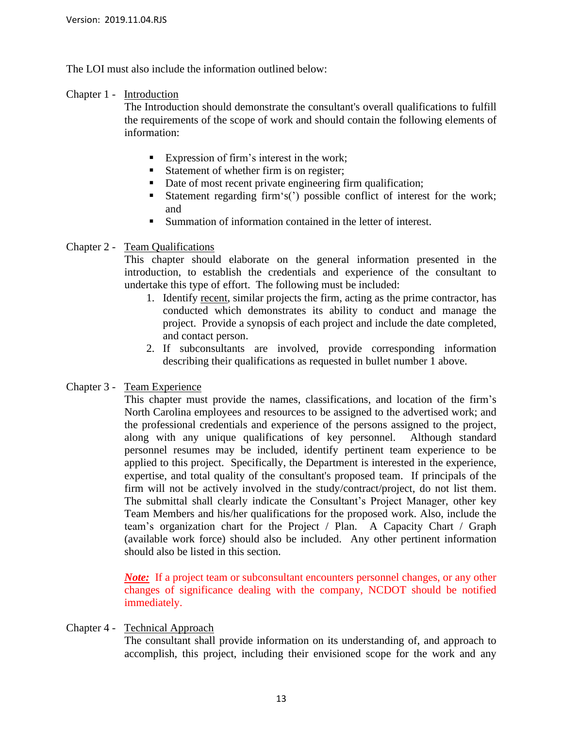The LOI must also include the information outlined below:

#### Chapter 1 - Introduction

The Introduction should demonstrate the consultant's overall qualifications to fulfill the requirements of the scope of work and should contain the following elements of information:

- Expression of firm's interest in the work;
- Statement of whether firm is on register;
- Date of most recent private engineering firm qualification;
- Statement regarding firm's(') possible conflict of interest for the work; and
- Summation of information contained in the letter of interest.

#### Chapter 2 - Team Qualifications

This chapter should elaborate on the general information presented in the introduction, to establish the credentials and experience of the consultant to undertake this type of effort. The following must be included:

- 1. Identify recent, similar projects the firm, acting as the prime contractor, has conducted which demonstrates its ability to conduct and manage the project. Provide a synopsis of each project and include the date completed, and contact person.
- 2. If subconsultants are involved, provide corresponding information describing their qualifications as requested in bullet number 1 above.

#### Chapter 3 - Team Experience

This chapter must provide the names, classifications, and location of the firm's North Carolina employees and resources to be assigned to the advertised work; and the professional credentials and experience of the persons assigned to the project, along with any unique qualifications of key personnel. Although standard personnel resumes may be included, identify pertinent team experience to be applied to this project. Specifically, the Department is interested in the experience, expertise, and total quality of the consultant's proposed team. If principals of the firm will not be actively involved in the study/contract/project, do not list them. The submittal shall clearly indicate the Consultant's Project Manager, other key Team Members and his/her qualifications for the proposed work. Also, include the team's organization chart for the Project / Plan. A Capacity Chart / Graph (available work force) should also be included. Any other pertinent information should also be listed in this section.

*Note*: If a project team or subconsultant encounters personnel changes, or any other changes of significance dealing with the company, NCDOT should be notified immediately.

Chapter 4 - Technical Approach

The consultant shall provide information on its understanding of, and approach to accomplish, this project, including their envisioned scope for the work and any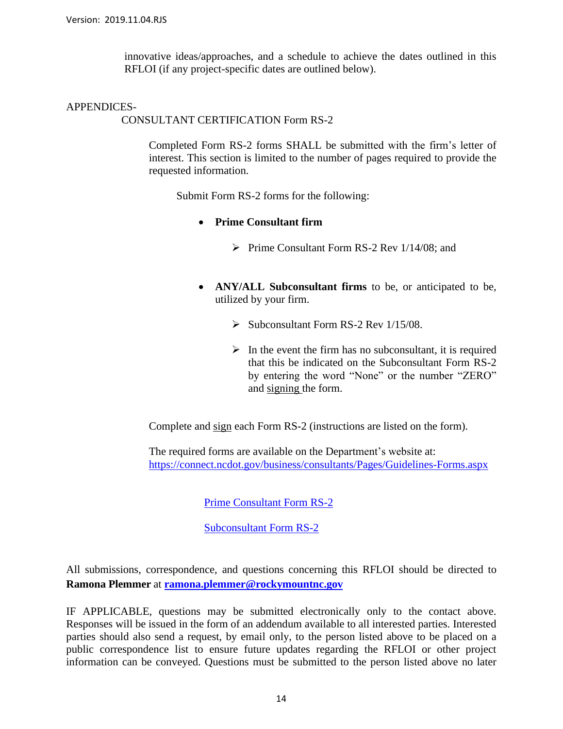innovative ideas/approaches, and a schedule to achieve the dates outlined in this RFLOI (if any project-specific dates are outlined below).

#### APPENDICES-

CONSULTANT CERTIFICATION Form RS-2

Completed Form RS-2 forms SHALL be submitted with the firm's letter of interest. This section is limited to the number of pages required to provide the requested information.

Submit Form RS-2 forms for the following:

- **Prime Consultant firm**
	- ➢ Prime Consultant Form RS-2 Rev 1/14/08; and
- **ANY/ALL Subconsultant firms** to be, or anticipated to be, utilized by your firm.
	- ➢ Subconsultant Form RS-2 Rev 1/15/08.
	- $\triangleright$  In the event the firm has no subconsultant, it is required that this be indicated on the Subconsultant Form RS-2 by entering the word "None" or the number "ZERO" and signing the form.

Complete and sign each Form RS-2 (instructions are listed on the form).

The required forms are available on the Department's website at: <https://connect.ncdot.gov/business/consultants/Pages/Guidelines-Forms.aspx>

[Prime Consultant Form RS-2](https://connect.ncdot.gov/business/consultants/Roadway/Form%20RS-2%20Prime%20Contractor%20(Task%20Orders%20ONLY).pdf)

[Subconsultant Form RS-2](https://connect.ncdot.gov/business/consultants/Roadway/Form%20RS-2%20Subcontract%20(Task%20Orders%20ONLY).pdf)

All submissions, correspondence, and questions concerning this RFLOI should be directed to **Ramona Plemmer** at **[ramona.plemmer@rockymountnc.gov](mailto:ramona.plemmer@rockymountnc.gov)**

IF APPLICABLE, questions may be submitted electronically only to the contact above. Responses will be issued in the form of an addendum available to all interested parties. Interested parties should also send a request, by email only, to the person listed above to be placed on a public correspondence list to ensure future updates regarding the RFLOI or other project information can be conveyed. Questions must be submitted to the person listed above no later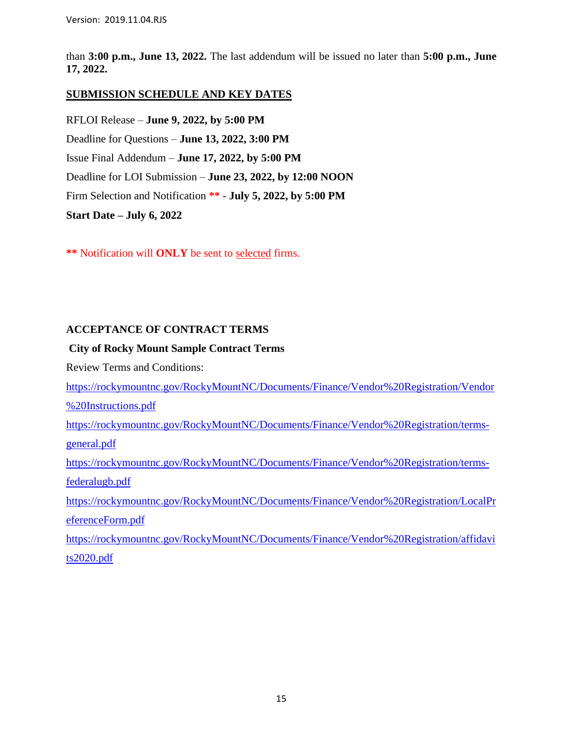than **3:00 p.m., June 13, 2022.** The last addendum will be issued no later than **5:00 p.m., June 17, 2022.**

#### **SUBMISSION SCHEDULE AND KEY DATES**

RFLOI Release – **June 9, 2022, by 5:00 PM** Deadline for Questions – **June 13, 2022, 3:00 PM** Issue Final Addendum – **June 17, 2022, by 5:00 PM** Deadline for LOI Submission – **June 23, 2022, by 12:00 NOON** Firm Selection and Notification **\*\*** - **July 5, 2022, by 5:00 PM Start Date – July 6, 2022**

**\*\*** Notification will **ONLY** be sent to selected firms.

#### **ACCEPTANCE OF CONTRACT TERMS**

#### **City of Rocky Mount Sample Contract Terms**

Review Terms and Conditions:

[https://rockymountnc.gov/RockyMountNC/Documents/Finance/Vendor%20Registration/Vendor](https://rockymountnc.gov/RockyMountNC/Documents/Finance/Vendor%20Registration/Vendor%20Instructions.pdf) [%20Instructions.pdf](https://rockymountnc.gov/RockyMountNC/Documents/Finance/Vendor%20Registration/Vendor%20Instructions.pdf)

[https://rockymountnc.gov/RockyMountNC/Documents/Finance/Vendor%20Registration/terms](https://rockymountnc.gov/RockyMountNC/Documents/Finance/Vendor%20Registration/terms-general.pdf)[general.pdf](https://rockymountnc.gov/RockyMountNC/Documents/Finance/Vendor%20Registration/terms-general.pdf)

[https://rockymountnc.gov/RockyMountNC/Documents/Finance/Vendor%20Registration/terms](https://rockymountnc.gov/RockyMountNC/Documents/Finance/Vendor%20Registration/terms-federalugb.pdf)[federalugb.pdf](https://rockymountnc.gov/RockyMountNC/Documents/Finance/Vendor%20Registration/terms-federalugb.pdf)

[https://rockymountnc.gov/RockyMountNC/Documents/Finance/Vendor%20Registration/LocalPr](https://rockymountnc.gov/RockyMountNC/Documents/Finance/Vendor%20Registration/LocalPreferenceForm.pdf) [eferenceForm.pdf](https://rockymountnc.gov/RockyMountNC/Documents/Finance/Vendor%20Registration/LocalPreferenceForm.pdf)

[https://rockymountnc.gov/RockyMountNC/Documents/Finance/Vendor%20Registration/affidavi](https://rockymountnc.gov/RockyMountNC/Documents/Finance/Vendor%20Registration/affidavits2020.pdf) [ts2020.pdf](https://rockymountnc.gov/RockyMountNC/Documents/Finance/Vendor%20Registration/affidavits2020.pdf)